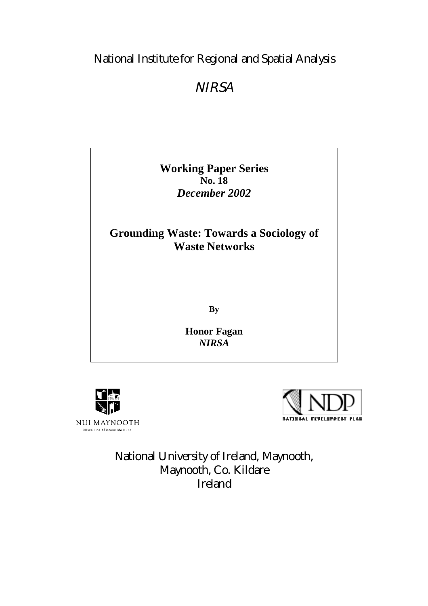# National Institute for Regional and Spatial Analysis

# **NIRSA**

**Working Paper Series No. 18** *December 2002*

**Grounding Waste: Towards a Sociology of Waste Networks**

**By**

**Honor Fagan** *NIRSA*





National University of Ireland, Maynooth, Maynooth, Co. Kildare Ireland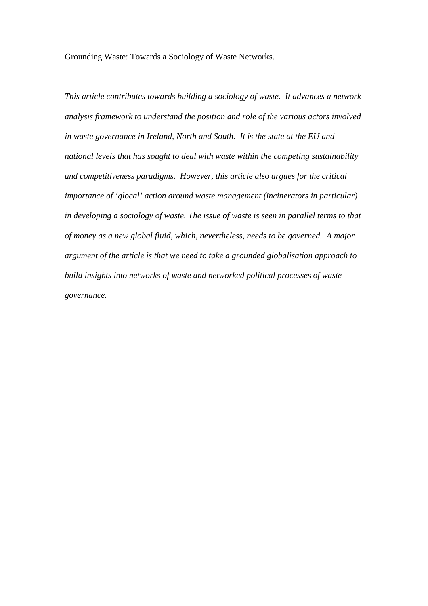Grounding Waste: Towards a Sociology of Waste Networks.

*This article contributes towards building a sociology of waste. It advances a network analysis framework to understand the position and role of the various actors involved in waste governance in Ireland, North and South. It is the state at the EU and national levels that has sought to deal with waste within the competing sustainability and competitiveness paradigms. However, this article also argues for the critical importance of 'glocal' action around waste management (incinerators in particular) in developing a sociology of waste. The issue of waste is seen in parallel terms to that of money as a new global fluid, which, nevertheless, needs to be governed. A major argument of the article is that we need to take a grounded globalisation approach to build insights into networks of waste and networked political processes of waste governance.*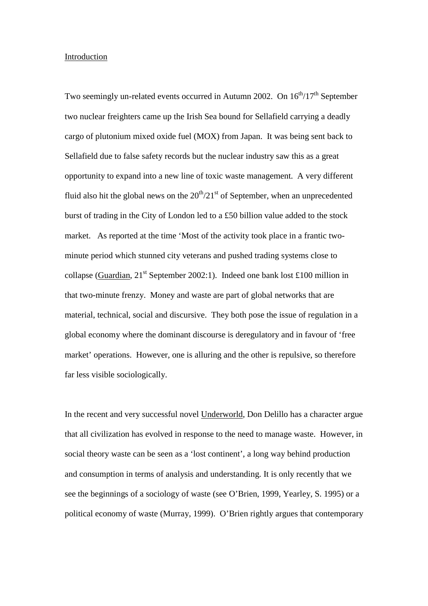#### Introduction

Two seemingly un-related events occurred in Autumn 2002. On  $16<sup>th</sup>/17<sup>th</sup>$  September two nuclear freighters came up the Irish Sea bound for Sellafield carrying a deadly cargo of plutonium mixed oxide fuel (MOX) from Japan. It was being sent back to Sellafield due to false safety records but the nuclear industry saw this as a great opportunity to expand into a new line of toxic waste management. A very different fluid also hit the global news on the  $20<sup>th</sup>/21<sup>st</sup>$  of September, when an unprecedented burst of trading in the City of London led to a £50 billion value added to the stock market. As reported at the time 'Most of the activity took place in a frantic twominute period which stunned city veterans and pushed trading systems close to collapse (Guardian,  $21^{st}$  September 2002:1). Indeed one bank lost £100 million in that two-minute frenzy. Money and waste are part of global networks that are material, technical, social and discursive. They both pose the issue of regulation in a global economy where the dominant discourse is deregulatory and in favour of 'free market' operations. However, one is alluring and the other is repulsive, so therefore far less visible sociologically.

In the recent and very successful novel Underworld, Don Delillo has a character argue that all civilization has evolved in response to the need to manage waste. However, in social theory waste can be seen as a 'lost continent', a long way behind production and consumption in terms of analysis and understanding. It is only recently that we see the beginnings of a sociology of waste (see O'Brien, 1999, Yearley, S. 1995) or a political economy of waste (Murray, 1999). O'Brien rightly argues that contemporary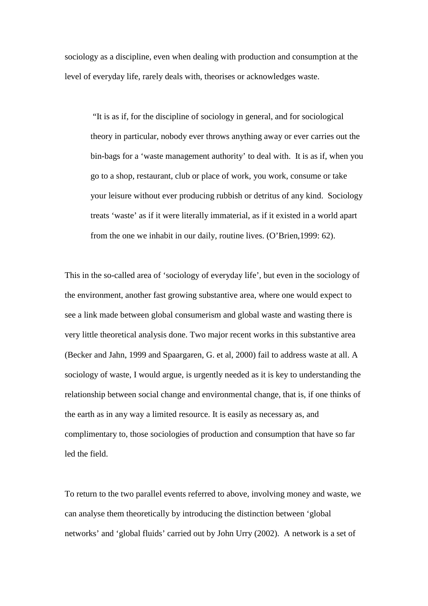sociology as a discipline, even when dealing with production and consumption at the level of everyday life, rarely deals with, theorises or acknowledges waste.

"It is as if, for the discipline of sociology in general, and for sociological theory in particular, nobody ever throws anything away or ever carries out the bin-bags for a 'waste management authority' to deal with. It is as if, when you go to a shop, restaurant, club or place of work, you work, consume or take your leisure without ever producing rubbish or detritus of any kind. Sociology treats 'waste' as if it were literally immaterial, as if it existed in a world apart from the one we inhabit in our daily, routine lives. (O'Brien,1999: 62).

This in the so-called area of 'sociology of everyday life', but even in the sociology of the environment, another fast growing substantive area, where one would expect to see a link made between global consumerism and global waste and wasting there is very little theoretical analysis done. Two major recent works in this substantive area (Becker and Jahn, 1999 and Spaargaren, G. et al, 2000) fail to address waste at all. A sociology of waste, I would argue, is urgently needed as it is key to understanding the relationship between social change and environmental change, that is, if one thinks of the earth as in any way a limited resource. It is easily as necessary as, and complimentary to, those sociologies of production and consumption that have so far led the field.

To return to the two parallel events referred to above, involving money and waste, we can analyse them theoretically by introducing the distinction between 'global networks' and 'global fluids' carried out by John Urry (2002). A network is a set of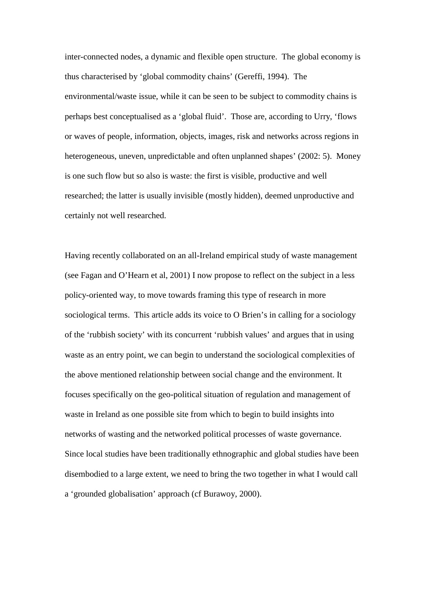inter-connected nodes, a dynamic and flexible open structure. The global economy is thus characterised by 'global commodity chains' (Gereffi, 1994). The environmental/waste issue, while it can be seen to be subject to commodity chains is perhaps best conceptualised as a 'global fluid'. Those are, according to Urry, 'flows or waves of people, information, objects, images, risk and networks across regions in heterogeneous, uneven, unpredictable and often unplanned shapes' (2002: 5). Money is one such flow but so also is waste: the first is visible, productive and well researched; the latter is usually invisible (mostly hidden), deemed unproductive and certainly not well researched.

Having recently collaborated on an all-Ireland empirical study of waste management (see Fagan and O'Hearn et al, 2001) I now propose to reflect on the subject in a less policy-oriented way, to move towards framing this type of research in more sociological terms. This article adds its voice to O Brien's in calling for a sociology of the 'rubbish society' with its concurrent 'rubbish values' and argues that in using waste as an entry point, we can begin to understand the sociological complexities of the above mentioned relationship between social change and the environment. It focuses specifically on the geo-political situation of regulation and management of waste in Ireland as one possible site from which to begin to build insights into networks of wasting and the networked political processes of waste governance. Since local studies have been traditionally ethnographic and global studies have been disembodied to a large extent, we need to bring the two together in what I would call a 'grounded globalisation' approach (cf Burawoy, 2000).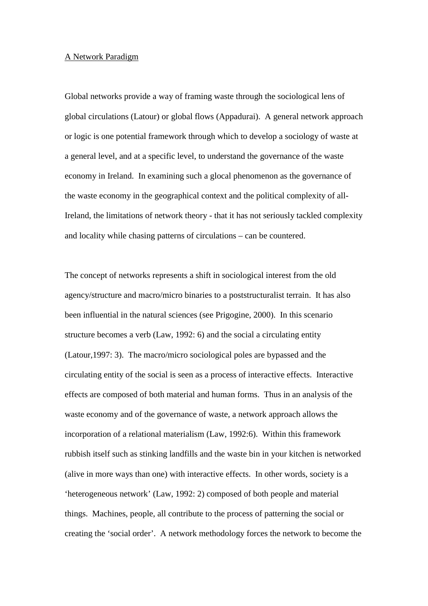#### A Network Paradigm

Global networks provide a way of framing waste through the sociological lens of global circulations (Latour) or global flows (Appadurai). A general network approach or logic is one potential framework through which to develop a sociology of waste at a general level, and at a specific level, to understand the governance of the waste economy in Ireland. In examining such a glocal phenomenon as the governance of the waste economy in the geographical context and the political complexity of all-Ireland, the limitations of network theory - that it has not seriously tackled complexity and locality while chasing patterns of circulations – can be countered.

The concept of networks represents a shift in sociological interest from the old agency/structure and macro/micro binaries to a poststructuralist terrain. It has also been influential in the natural sciences (see Prigogine, 2000). In this scenario structure becomes a verb (Law, 1992: 6) and the social a circulating entity (Latour,1997: 3). The macro/micro sociological poles are bypassed and the circulating entity of the social is seen as a process of interactive effects. Interactive effects are composed of both material and human forms. Thus in an analysis of the waste economy and of the governance of waste, a network approach allows the incorporation of a relational materialism (Law, 1992:6). Within this framework rubbish itself such as stinking landfills and the waste bin in your kitchen is networked (alive in more ways than one) with interactive effects. In other words, society is a 'heterogeneous network' (Law, 1992: 2) composed of both people and material things. Machines, people, all contribute to the process of patterning the social or creating the 'social order'. A network methodology forces the network to become the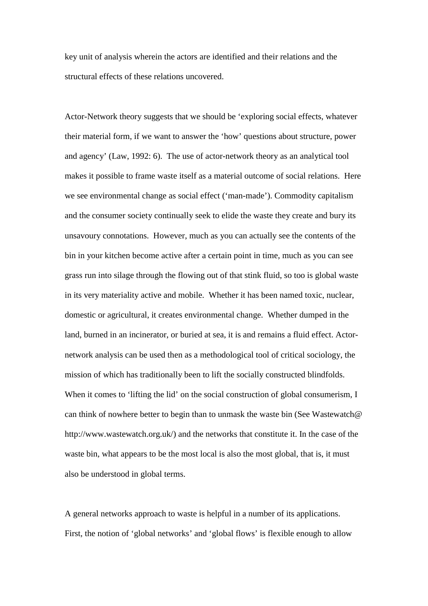key unit of analysis wherein the actors are identified and their relations and the structural effects of these relations uncovered.

Actor-Network theory suggests that we should be 'exploring social effects, whatever their material form, if we want to answer the 'how' questions about structure, power and agency' (Law, 1992: 6). The use of actor-network theory as an analytical tool makes it possible to frame waste itself as a material outcome of social relations. Here we see environmental change as social effect ('man-made'). Commodity capitalism and the consumer society continually seek to elide the waste they create and bury its unsavoury connotations. However, much as you can actually see the contents of the bin in your kitchen become active after a certain point in time, much as you can see grass run into silage through the flowing out of that stink fluid, so too is global waste in its very materiality active and mobile. Whether it has been named toxic, nuclear, domestic or agricultural, it creates environmental change. Whether dumped in the land, burned in an incinerator, or buried at sea, it is and remains a fluid effect. Actornetwork analysis can be used then as a methodological tool of critical sociology, the mission of which has traditionally been to lift the socially constructed blindfolds. When it comes to 'lifting the lid' on the social construction of global consumerism, I can think of nowhere better to begin than to unmask the waste bin (See Wastewatch@ http://www.wastewatch.org.uk/) and the networks that constitute it. In the case of the waste bin, what appears to be the most local is also the most global, that is, it must also be understood in global terms.

A general networks approach to waste is helpful in a number of its applications. First, the notion of 'global networks' and 'global flows' is flexible enough to allow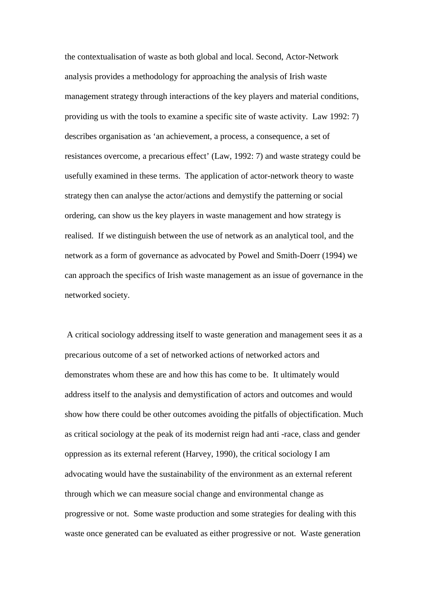the contextualisation of waste as both global and local. Second, Actor-Network analysis provides a methodology for approaching the analysis of Irish waste management strategy through interactions of the key players and material conditions, providing us with the tools to examine a specific site of waste activity. Law 1992: 7) describes organisation as 'an achievement, a process, a consequence, a set of resistances overcome, a precarious effect' (Law, 1992: 7) and waste strategy could be usefully examined in these terms. The application of actor-network theory to waste strategy then can analyse the actor/actions and demystify the patterning or social ordering, can show us the key players in waste management and how strategy is realised. If we distinguish between the use of network as an analytical tool, and the network as a form of governance as advocated by Powel and Smith-Doerr (1994) we can approach the specifics of Irish waste management as an issue of governance in the networked society.

 A critical sociology addressing itself to waste generation and management sees it as a precarious outcome of a set of networked actions of networked actors and demonstrates whom these are and how this has come to be. It ultimately would address itself to the analysis and demystification of actors and outcomes and would show how there could be other outcomes avoiding the pitfalls of objectification. Much as critical sociology at the peak of its modernist reign had anti -race, class and gender oppression as its external referent (Harvey, 1990), the critical sociology I am advocating would have the sustainability of the environment as an external referent through which we can measure social change and environmental change as progressive or not. Some waste production and some strategies for dealing with this waste once generated can be evaluated as either progressive or not. Waste generation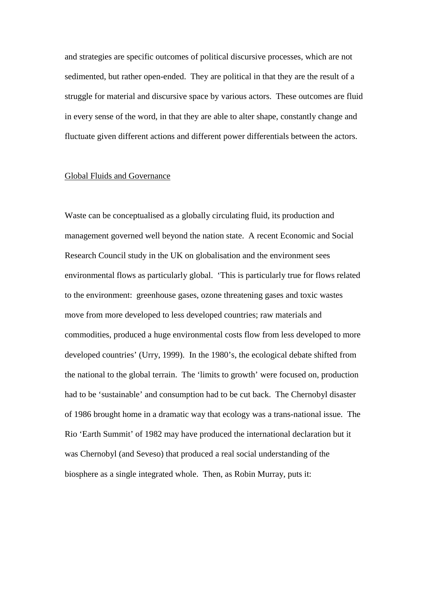and strategies are specific outcomes of political discursive processes, which are not sedimented, but rather open-ended. They are political in that they are the result of a struggle for material and discursive space by various actors. These outcomes are fluid in every sense of the word, in that they are able to alter shape, constantly change and fluctuate given different actions and different power differentials between the actors.

#### Global Fluids and Governance

Waste can be conceptualised as a globally circulating fluid, its production and management governed well beyond the nation state. A recent Economic and Social Research Council study in the UK on globalisation and the environment sees environmental flows as particularly global. 'This is particularly true for flows related to the environment: greenhouse gases, ozone threatening gases and toxic wastes move from more developed to less developed countries; raw materials and commodities, produced a huge environmental costs flow from less developed to more developed countries' (Urry, 1999). In the 1980's, the ecological debate shifted from the national to the global terrain. The 'limits to growth' were focused on, production had to be 'sustainable' and consumption had to be cut back. The Chernobyl disaster of 1986 brought home in a dramatic way that ecology was a trans-national issue. The Rio 'Earth Summit' of 1982 may have produced the international declaration but it was Chernobyl (and Seveso) that produced a real social understanding of the biosphere as a single integrated whole. Then, as Robin Murray, puts it: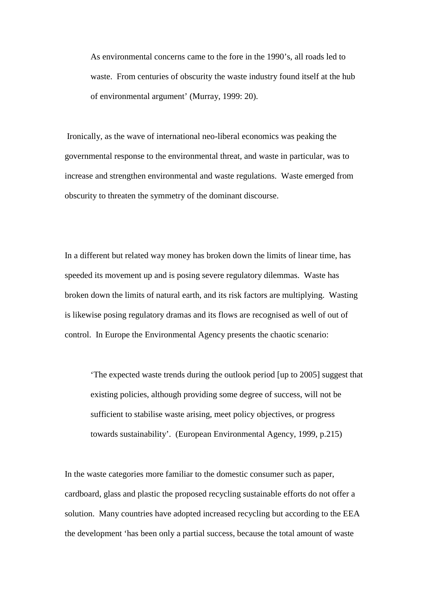As environmental concerns came to the fore in the 1990's, all roads led to waste. From centuries of obscurity the waste industry found itself at the hub of environmental argument' (Murray, 1999: 20).

 Ironically, as the wave of international neo-liberal economics was peaking the governmental response to the environmental threat, and waste in particular, was to increase and strengthen environmental and waste regulations. Waste emerged from obscurity to threaten the symmetry of the dominant discourse.

In a different but related way money has broken down the limits of linear time, has speeded its movement up and is posing severe regulatory dilemmas. Waste has broken down the limits of natural earth, and its risk factors are multiplying. Wasting is likewise posing regulatory dramas and its flows are recognised as well of out of control. In Europe the Environmental Agency presents the chaotic scenario:

'The expected waste trends during the outlook period [up to 2005] suggest that existing policies, although providing some degree of success, will not be sufficient to stabilise waste arising, meet policy objectives, or progress towards sustainability'. (European Environmental Agency, 1999, p.215)

In the waste categories more familiar to the domestic consumer such as paper, cardboard, glass and plastic the proposed recycling sustainable efforts do not offer a solution. Many countries have adopted increased recycling but according to the EEA the development 'has been only a partial success, because the total amount of waste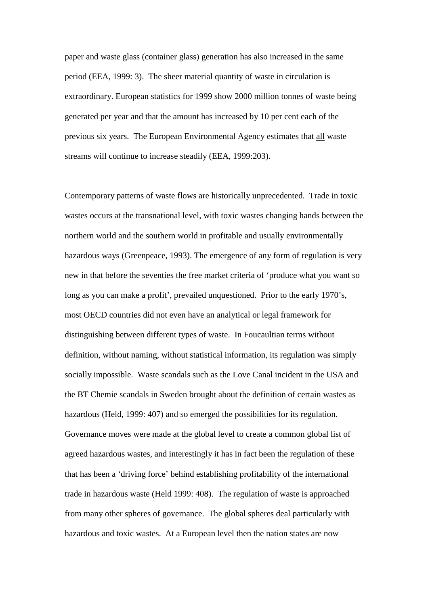paper and waste glass (container glass) generation has also increased in the same period (EEA, 1999: 3). The sheer material quantity of waste in circulation is extraordinary. European statistics for 1999 show 2000 million tonnes of waste being generated per year and that the amount has increased by 10 per cent each of the previous six years. The European Environmental Agency estimates that all waste streams will continue to increase steadily (EEA, 1999:203).

Contemporary patterns of waste flows are historically unprecedented. Trade in toxic wastes occurs at the transnational level, with toxic wastes changing hands between the northern world and the southern world in profitable and usually environmentally hazardous ways (Greenpeace, 1993). The emergence of any form of regulation is very new in that before the seventies the free market criteria of 'produce what you want so long as you can make a profit', prevailed unquestioned. Prior to the early 1970's, most OECD countries did not even have an analytical or legal framework for distinguishing between different types of waste. In Foucaultian terms without definition, without naming, without statistical information, its regulation was simply socially impossible. Waste scandals such as the Love Canal incident in the USA and the BT Chemie scandals in Sweden brought about the definition of certain wastes as hazardous (Held, 1999: 407) and so emerged the possibilities for its regulation. Governance moves were made at the global level to create a common global list of agreed hazardous wastes, and interestingly it has in fact been the regulation of these that has been a 'driving force' behind establishing profitability of the international trade in hazardous waste (Held 1999: 408). The regulation of waste is approached from many other spheres of governance. The global spheres deal particularly with hazardous and toxic wastes. At a European level then the nation states are now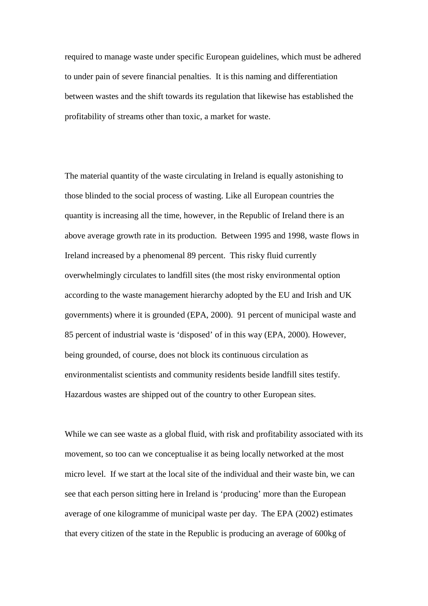required to manage waste under specific European guidelines, which must be adhered to under pain of severe financial penalties. It is this naming and differentiation between wastes and the shift towards its regulation that likewise has established the profitability of streams other than toxic, a market for waste.

The material quantity of the waste circulating in Ireland is equally astonishing to those blinded to the social process of wasting. Like all European countries the quantity is increasing all the time, however, in the Republic of Ireland there is an above average growth rate in its production. Between 1995 and 1998, waste flows in Ireland increased by a phenomenal 89 percent. This risky fluid currently overwhelmingly circulates to landfill sites (the most risky environmental option according to the waste management hierarchy adopted by the EU and Irish and UK governments) where it is grounded (EPA, 2000). 91 percent of municipal waste and 85 percent of industrial waste is 'disposed' of in this way (EPA, 2000). However, being grounded, of course, does not block its continuous circulation as environmentalist scientists and community residents beside landfill sites testify. Hazardous wastes are shipped out of the country to other European sites.

While we can see waste as a global fluid, with risk and profitability associated with its movement, so too can we conceptualise it as being locally networked at the most micro level. If we start at the local site of the individual and their waste bin, we can see that each person sitting here in Ireland is 'producing' more than the European average of one kilogramme of municipal waste per day. The EPA (2002) estimates that every citizen of the state in the Republic is producing an average of 600kg of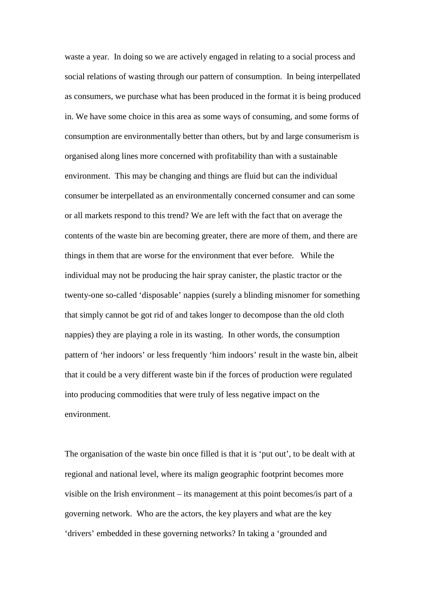waste a year. In doing so we are actively engaged in relating to a social process and social relations of wasting through our pattern of consumption. In being interpellated as consumers, we purchase what has been produced in the format it is being produced in. We have some choice in this area as some ways of consuming, and some forms of consumption are environmentally better than others, but by and large consumerism is organised along lines more concerned with profitability than with a sustainable environment. This may be changing and things are fluid but can the individual consumer be interpellated as an environmentally concerned consumer and can some or all markets respond to this trend? We are left with the fact that on average the contents of the waste bin are becoming greater, there are more of them, and there are things in them that are worse for the environment that ever before. While the individual may not be producing the hair spray canister, the plastic tractor or the twenty-one so-called 'disposable' nappies (surely a blinding misnomer for something that simply cannot be got rid of and takes longer to decompose than the old cloth nappies) they are playing a role in its wasting. In other words, the consumption pattern of 'her indoors' or less frequently 'him indoors' result in the waste bin, albeit that it could be a very different waste bin if the forces of production were regulated into producing commodities that were truly of less negative impact on the environment.

The organisation of the waste bin once filled is that it is 'put out', to be dealt with at regional and national level, where its malign geographic footprint becomes more visible on the Irish environment – its management at this point becomes/is part of a governing network. Who are the actors, the key players and what are the key 'drivers' embedded in these governing networks? In taking a 'grounded and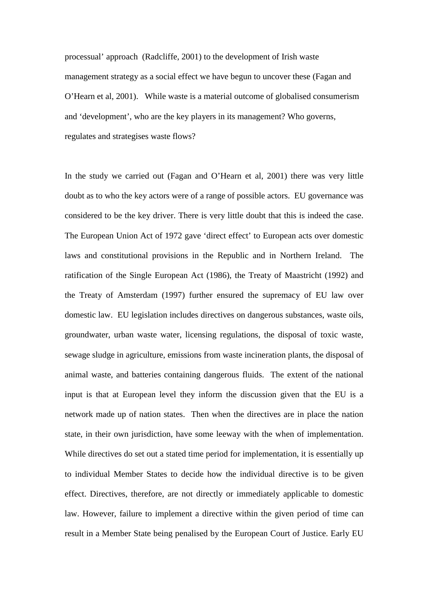processual' approach (Radcliffe, 2001) to the development of Irish waste management strategy as a social effect we have begun to uncover these (Fagan and O'Hearn et al, 2001). While waste is a material outcome of globalised consumerism and 'development', who are the key players in its management? Who governs, regulates and strategises waste flows?

In the study we carried out (Fagan and O'Hearn et al, 2001) there was very little doubt as to who the key actors were of a range of possible actors. EU governance was considered to be the key driver. There is very little doubt that this is indeed the case. The European Union Act of 1972 gave 'direct effect' to European acts over domestic laws and constitutional provisions in the Republic and in Northern Ireland. The ratification of the Single European Act (1986), the Treaty of Maastricht (1992) and the Treaty of Amsterdam (1997) further ensured the supremacy of EU law over domestic law. EU legislation includes directives on dangerous substances, waste oils, groundwater, urban waste water, licensing regulations, the disposal of toxic waste, sewage sludge in agriculture, emissions from waste incineration plants, the disposal of animal waste, and batteries containing dangerous fluids. The extent of the national input is that at European level they inform the discussion given that the EU is a network made up of nation states. Then when the directives are in place the nation state, in their own jurisdiction, have some leeway with the when of implementation. While directives do set out a stated time period for implementation, it is essentially up to individual Member States to decide how the individual directive is to be given effect. Directives, therefore, are not directly or immediately applicable to domestic law. However, failure to implement a directive within the given period of time can result in a Member State being penalised by the European Court of Justice. Early EU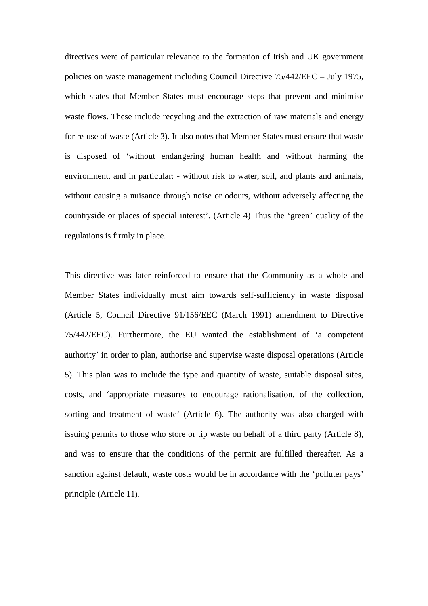directives were of particular relevance to the formation of Irish and UK government policies on waste management including Council Directive 75/442/EEC – July 1975, which states that Member States must encourage steps that prevent and minimise waste flows. These include recycling and the extraction of raw materials and energy for re-use of waste (Article 3). It also notes that Member States must ensure that waste is disposed of 'without endangering human health and without harming the environment, and in particular: - without risk to water, soil, and plants and animals, without causing a nuisance through noise or odours, without adversely affecting the countryside or places of special interest'. (Article 4) Thus the 'green' quality of the regulations is firmly in place.

This directive was later reinforced to ensure that the Community as a whole and Member States individually must aim towards self-sufficiency in waste disposal (Article 5, Council Directive 91/156/EEC (March 1991) amendment to Directive 75/442/EEC). Furthermore, the EU wanted the establishment of 'a competent authority' in order to plan, authorise and supervise waste disposal operations (Article 5). This plan was to include the type and quantity of waste, suitable disposal sites, costs, and 'appropriate measures to encourage rationalisation, of the collection, sorting and treatment of waste' (Article 6). The authority was also charged with issuing permits to those who store or tip waste on behalf of a third party (Article 8), and was to ensure that the conditions of the permit are fulfilled thereafter. As a sanction against default, waste costs would be in accordance with the 'polluter pays' principle (Article 11).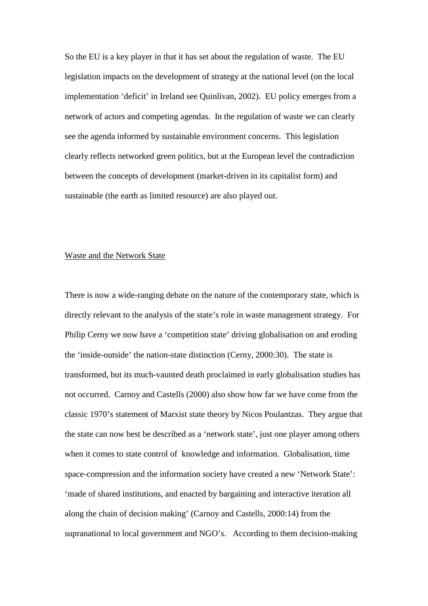So the EU is a key player in that it has set about the regulation of waste. The EU legislation impacts on the development of strategy at the national level (on the local implementation 'deficit' in Ireland see Quinlivan, 2002). EU policy emerges from a network of actors and competing agendas. In the regulation of waste we can clearly see the agenda informed by sustainable environment concerns. This legislation clearly reflects networked green politics, but at the European level the contradiction between the concepts of development (market-driven in its capitalist form) and sustainable (the earth as limited resource) are also played out.

## Waste and the Network State

There is now a wide-ranging debate on the nature of the contemporary state, which is directly relevant to the analysis of the state's role in waste management strategy. For Philip Cerny we now have a 'competition state' driving globalisation on and eroding the 'inside-outside' the nation-state distinction (Cerny, 2000:30). The state is transformed, but its much-vaunted death proclaimed in early globalisation studies has not occurred. Carnoy and Castells (2000) also show how far we have come from the classic 1970's statement of Marxist state theory by Nicos Poulantzas. They argue that the state can now best be described as a 'network state', just one player among others when it comes to state control of knowledge and information. Globalisation, time space-compression and the information society have created a new 'Network State': 'made of shared institutions, and enacted by bargaining and interactive iteration all along the chain of decision making' (Carnoy and Castells, 2000:14) from the supranational to local government and NGO's. According to them decision-making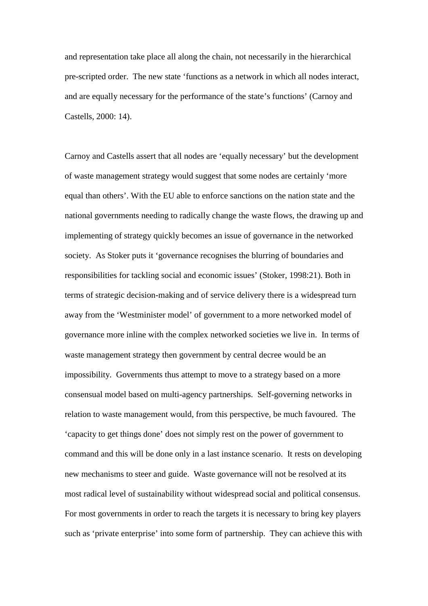and representation take place all along the chain, not necessarily in the hierarchical pre-scripted order. The new state 'functions as a network in which all nodes interact, and are equally necessary for the performance of the state's functions' (Carnoy and Castells, 2000: 14).

Carnoy and Castells assert that all nodes are 'equally necessary' but the development of waste management strategy would suggest that some nodes are certainly 'more equal than others'. With the EU able to enforce sanctions on the nation state and the national governments needing to radically change the waste flows, the drawing up and implementing of strategy quickly becomes an issue of governance in the networked society. As Stoker puts it 'governance recognises the blurring of boundaries and responsibilities for tackling social and economic issues' (Stoker, 1998:21). Both in terms of strategic decision-making and of service delivery there is a widespread turn away from the 'Westminister model' of government to a more networked model of governance more inline with the complex networked societies we live in. In terms of waste management strategy then government by central decree would be an impossibility. Governments thus attempt to move to a strategy based on a more consensual model based on multi-agency partnerships. Self-governing networks in relation to waste management would, from this perspective, be much favoured. The 'capacity to get things done' does not simply rest on the power of government to command and this will be done only in a last instance scenario. It rests on developing new mechanisms to steer and guide. Waste governance will not be resolved at its most radical level of sustainability without widespread social and political consensus. For most governments in order to reach the targets it is necessary to bring key players such as 'private enterprise' into some form of partnership. They can achieve this with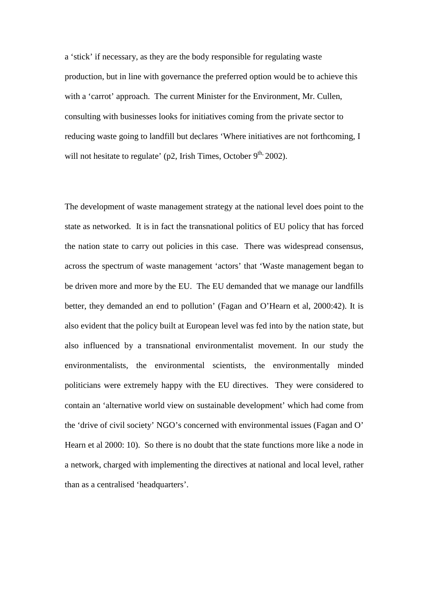a 'stick' if necessary, as they are the body responsible for regulating waste production, but in line with governance the preferred option would be to achieve this with a 'carrot' approach. The current Minister for the Environment, Mr. Cullen, consulting with businesses looks for initiatives coming from the private sector to reducing waste going to landfill but declares 'Where initiatives are not forthcoming, I will not hesitate to regulate' ( $p2$ , Irish Times, October  $9<sup>th</sup>$ , 2002).

The development of waste management strategy at the national level does point to the state as networked. It is in fact the transnational politics of EU policy that has forced the nation state to carry out policies in this case. There was widespread consensus, across the spectrum of waste management 'actors' that 'Waste management began to be driven more and more by the EU. The EU demanded that we manage our landfills better, they demanded an end to pollution' (Fagan and O'Hearn et al, 2000:42). It is also evident that the policy built at European level was fed into by the nation state, but also influenced by a transnational environmentalist movement. In our study the environmentalists, the environmental scientists, the environmentally minded politicians were extremely happy with the EU directives. They were considered to contain an 'alternative world view on sustainable development' which had come from the 'drive of civil society' NGO's concerned with environmental issues (Fagan and O' Hearn et al 2000: 10). So there is no doubt that the state functions more like a node in a network, charged with implementing the directives at national and local level, rather than as a centralised 'headquarters'.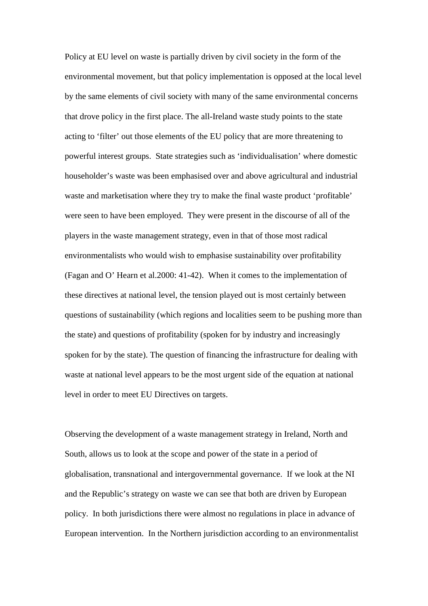Policy at EU level on waste is partially driven by civil society in the form of the environmental movement, but that policy implementation is opposed at the local level by the same elements of civil society with many of the same environmental concerns that drove policy in the first place. The all-Ireland waste study points to the state acting to 'filter' out those elements of the EU policy that are more threatening to powerful interest groups. State strategies such as 'individualisation' where domestic householder's waste was been emphasised over and above agricultural and industrial waste and marketisation where they try to make the final waste product 'profitable' were seen to have been employed. They were present in the discourse of all of the players in the waste management strategy, even in that of those most radical environmentalists who would wish to emphasise sustainability over profitability (Fagan and O' Hearn et al.2000: 41-42). When it comes to the implementation of these directives at national level, the tension played out is most certainly between questions of sustainability (which regions and localities seem to be pushing more than the state) and questions of profitability (spoken for by industry and increasingly spoken for by the state). The question of financing the infrastructure for dealing with waste at national level appears to be the most urgent side of the equation at national level in order to meet EU Directives on targets.

Observing the development of a waste management strategy in Ireland, North and South, allows us to look at the scope and power of the state in a period of globalisation, transnational and intergovernmental governance. If we look at the NI and the Republic's strategy on waste we can see that both are driven by European policy. In both jurisdictions there were almost no regulations in place in advance of European intervention. In the Northern jurisdiction according to an environmentalist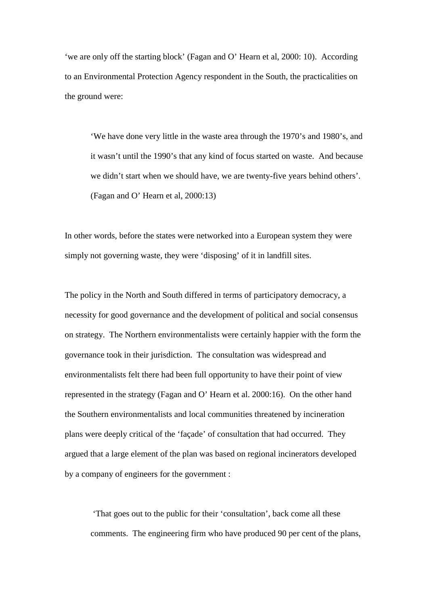'we are only off the starting block' (Fagan and O' Hearn et al, 2000: 10). According to an Environmental Protection Agency respondent in the South, the practicalities on the ground were:

'We have done very little in the waste area through the 1970's and 1980's, and it wasn't until the 1990's that any kind of focus started on waste. And because we didn't start when we should have, we are twenty-five years behind others'. (Fagan and O' Hearn et al, 2000:13)

In other words, before the states were networked into a European system they were simply not governing waste, they were 'disposing' of it in landfill sites.

The policy in the North and South differed in terms of participatory democracy, a necessity for good governance and the development of political and social consensus on strategy. The Northern environmentalists were certainly happier with the form the governance took in their jurisdiction. The consultation was widespread and environmentalists felt there had been full opportunity to have their point of view represented in the strategy (Fagan and O' Hearn et al. 2000:16). On the other hand the Southern environmentalists and local communities threatened by incineration plans were deeply critical of the 'façade' of consultation that had occurred. They argued that a large element of the plan was based on regional incinerators developed by a company of engineers for the government :

'That goes out to the public for their 'consultation', back come all these comments. The engineering firm who have produced 90 per cent of the plans,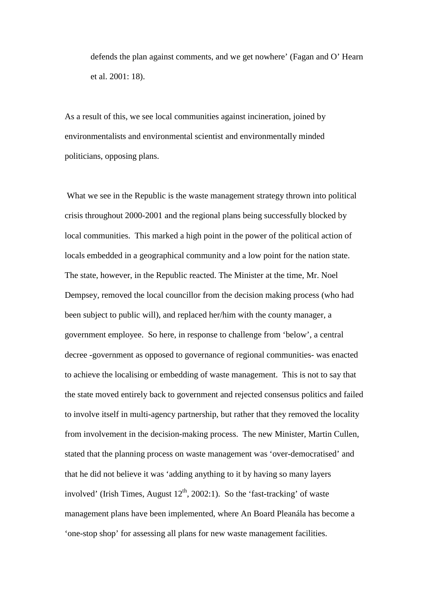defends the plan against comments, and we get nowhere' (Fagan and O' Hearn et al. 2001: 18).

As a result of this, we see local communities against incineration, joined by environmentalists and environmental scientist and environmentally minded politicians, opposing plans.

What we see in the Republic is the waste management strategy thrown into political crisis throughout 2000-2001 and the regional plans being successfully blocked by local communities. This marked a high point in the power of the political action of locals embedded in a geographical community and a low point for the nation state. The state, however, in the Republic reacted. The Minister at the time, Mr. Noel Dempsey, removed the local councillor from the decision making process (who had been subject to public will), and replaced her/him with the county manager, a government employee. So here, in response to challenge from 'below', a central decree -government as opposed to governance of regional communities- was enacted to achieve the localising or embedding of waste management. This is not to say that the state moved entirely back to government and rejected consensus politics and failed to involve itself in multi-agency partnership, but rather that they removed the locality from involvement in the decision-making process. The new Minister, Martin Cullen, stated that the planning process on waste management was 'over-democratised' and that he did not believe it was 'adding anything to it by having so many layers involved' (Irish Times, August  $12<sup>th</sup>$ , 2002:1). So the 'fast-tracking' of waste management plans have been implemented, where An Board Pleanála has become a 'one-stop shop' for assessing all plans for new waste management facilities.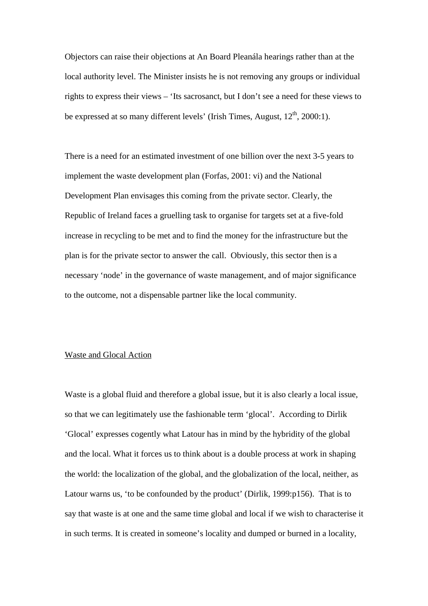Objectors can raise their objections at An Board Pleanála hearings rather than at the local authority level. The Minister insists he is not removing any groups or individual rights to express their views – 'Its sacrosanct, but I don't see a need for these views to be expressed at so many different levels' (Irish Times, August,  $12<sup>th</sup>$ , 2000:1).

There is a need for an estimated investment of one billion over the next 3-5 years to implement the waste development plan (Forfas, 2001: vi) and the National Development Plan envisages this coming from the private sector. Clearly, the Republic of Ireland faces a gruelling task to organise for targets set at a five-fold increase in recycling to be met and to find the money for the infrastructure but the plan is for the private sector to answer the call. Obviously, this sector then is a necessary 'node' in the governance of waste management, and of major significance to the outcome, not a dispensable partner like the local community.

## Waste and Glocal Action

Waste is a global fluid and therefore a global issue, but it is also clearly a local issue, so that we can legitimately use the fashionable term 'glocal'. According to Dirlik 'Glocal' expresses cogently what Latour has in mind by the hybridity of the global and the local. What it forces us to think about is a double process at work in shaping the world: the localization of the global, and the globalization of the local, neither, as Latour warns us, 'to be confounded by the product' (Dirlik, 1999:p156). That is to say that waste is at one and the same time global and local if we wish to characterise it in such terms. It is created in someone's locality and dumped or burned in a locality,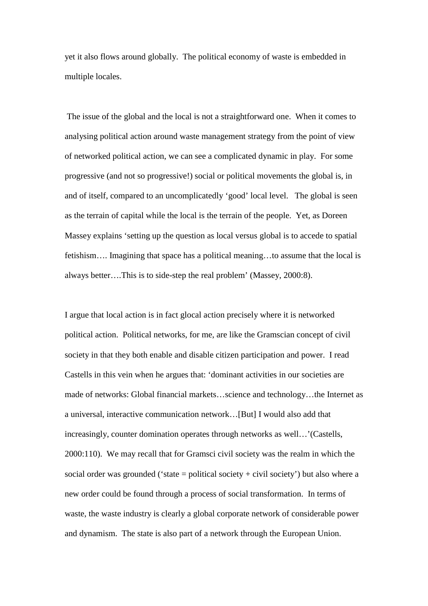yet it also flows around globally. The political economy of waste is embedded in multiple locales.

 The issue of the global and the local is not a straightforward one. When it comes to analysing political action around waste management strategy from the point of view of networked political action, we can see a complicated dynamic in play. For some progressive (and not so progressive!) social or political movements the global is, in and of itself, compared to an uncomplicatedly 'good' local level. The global is seen as the terrain of capital while the local is the terrain of the people. Yet, as Doreen Massey explains 'setting up the question as local versus global is to accede to spatial fetishism…. Imagining that space has a political meaning…to assume that the local is always better….This is to side-step the real problem' (Massey, 2000:8).

I argue that local action is in fact glocal action precisely where it is networked political action. Political networks, for me, are like the Gramscian concept of civil society in that they both enable and disable citizen participation and power. I read Castells in this vein when he argues that: 'dominant activities in our societies are made of networks: Global financial markets…science and technology…the Internet as a universal, interactive communication network…[But] I would also add that increasingly, counter domination operates through networks as well…'(Castells, 2000:110). We may recall that for Gramsci civil society was the realm in which the social order was grounded ('state = political society + civil society') but also where a new order could be found through a process of social transformation. In terms of waste, the waste industry is clearly a global corporate network of considerable power and dynamism. The state is also part of a network through the European Union.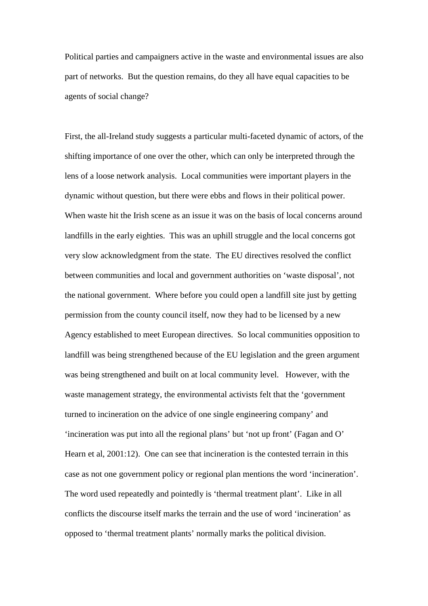Political parties and campaigners active in the waste and environmental issues are also part of networks. But the question remains, do they all have equal capacities to be agents of social change?

First, the all-Ireland study suggests a particular multi-faceted dynamic of actors, of the shifting importance of one over the other, which can only be interpreted through the lens of a loose network analysis. Local communities were important players in the dynamic without question, but there were ebbs and flows in their political power. When waste hit the Irish scene as an issue it was on the basis of local concerns around landfills in the early eighties. This was an uphill struggle and the local concerns got very slow acknowledgment from the state. The EU directives resolved the conflict between communities and local and government authorities on 'waste disposal', not the national government. Where before you could open a landfill site just by getting permission from the county council itself, now they had to be licensed by a new Agency established to meet European directives. So local communities opposition to landfill was being strengthened because of the EU legislation and the green argument was being strengthened and built on at local community level. However, with the waste management strategy, the environmental activists felt that the 'government turned to incineration on the advice of one single engineering company' and 'incineration was put into all the regional plans' but 'not up front' (Fagan and O' Hearn et al, 2001:12). One can see that incineration is the contested terrain in this case as not one government policy or regional plan mentions the word 'incineration'. The word used repeatedly and pointedly is 'thermal treatment plant'. Like in all conflicts the discourse itself marks the terrain and the use of word 'incineration' as opposed to 'thermal treatment plants' normally marks the political division.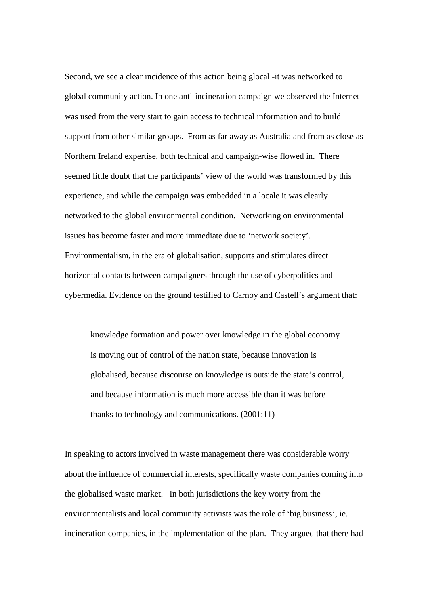Second, we see a clear incidence of this action being glocal -it was networked to global community action. In one anti-incineration campaign we observed the Internet was used from the very start to gain access to technical information and to build support from other similar groups. From as far away as Australia and from as close as Northern Ireland expertise, both technical and campaign-wise flowed in. There seemed little doubt that the participants' view of the world was transformed by this experience, and while the campaign was embedded in a locale it was clearly networked to the global environmental condition. Networking on environmental issues has become faster and more immediate due to 'network society'. Environmentalism, in the era of globalisation, supports and stimulates direct horizontal contacts between campaigners through the use of cyberpolitics and cybermedia. Evidence on the ground testified to Carnoy and Castell's argument that:

knowledge formation and power over knowledge in the global economy is moving out of control of the nation state, because innovation is globalised, because discourse on knowledge is outside the state's control, and because information is much more accessible than it was before thanks to technology and communications. (2001:11)

In speaking to actors involved in waste management there was considerable worry about the influence of commercial interests, specifically waste companies coming into the globalised waste market. In both jurisdictions the key worry from the environmentalists and local community activists was the role of 'big business', ie. incineration companies, in the implementation of the plan. They argued that there had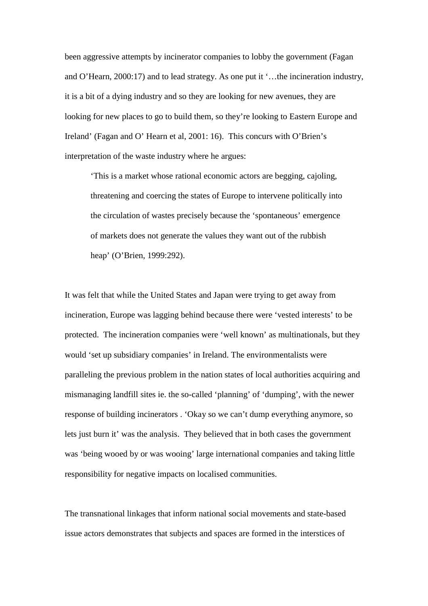been aggressive attempts by incinerator companies to lobby the government (Fagan and O'Hearn, 2000:17) and to lead strategy. As one put it '…the incineration industry, it is a bit of a dying industry and so they are looking for new avenues, they are looking for new places to go to build them, so they're looking to Eastern Europe and Ireland' (Fagan and O' Hearn et al, 2001: 16). This concurs with O'Brien's interpretation of the waste industry where he argues:

'This is a market whose rational economic actors are begging, cajoling, threatening and coercing the states of Europe to intervene politically into the circulation of wastes precisely because the 'spontaneous' emergence of markets does not generate the values they want out of the rubbish heap' (O'Brien, 1999:292).

It was felt that while the United States and Japan were trying to get away from incineration, Europe was lagging behind because there were 'vested interests' to be protected. The incineration companies were 'well known' as multinationals, but they would 'set up subsidiary companies' in Ireland. The environmentalists were paralleling the previous problem in the nation states of local authorities acquiring and mismanaging landfill sites ie. the so-called 'planning' of 'dumping', with the newer response of building incinerators . 'Okay so we can't dump everything anymore, so lets just burn it' was the analysis. They believed that in both cases the government was 'being wooed by or was wooing' large international companies and taking little responsibility for negative impacts on localised communities.

The transnational linkages that inform national social movements and state-based issue actors demonstrates that subjects and spaces are formed in the interstices of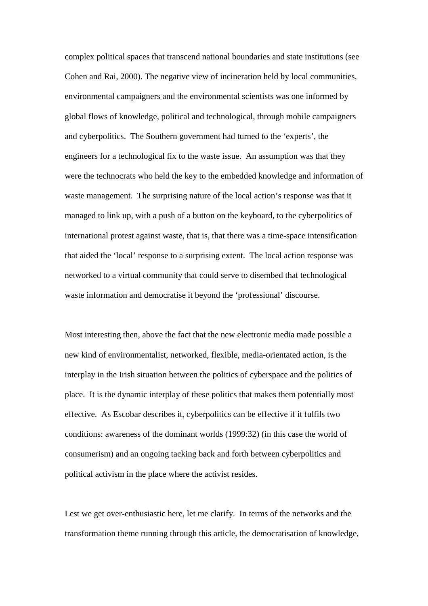complex political spaces that transcend national boundaries and state institutions (see Cohen and Rai, 2000). The negative view of incineration held by local communities, environmental campaigners and the environmental scientists was one informed by global flows of knowledge, political and technological, through mobile campaigners and cyberpolitics. The Southern government had turned to the 'experts', the engineers for a technological fix to the waste issue. An assumption was that they were the technocrats who held the key to the embedded knowledge and information of waste management. The surprising nature of the local action's response was that it managed to link up, with a push of a button on the keyboard, to the cyberpolitics of international protest against waste, that is, that there was a time-space intensification that aided the 'local' response to a surprising extent. The local action response was networked to a virtual community that could serve to disembed that technological waste information and democratise it beyond the 'professional' discourse.

Most interesting then, above the fact that the new electronic media made possible a new kind of environmentalist, networked, flexible, media-orientated action, is the interplay in the Irish situation between the politics of cyberspace and the politics of place. It is the dynamic interplay of these politics that makes them potentially most effective. As Escobar describes it, cyberpolitics can be effective if it fulfils two conditions: awareness of the dominant worlds (1999:32) (in this case the world of consumerism) and an ongoing tacking back and forth between cyberpolitics and political activism in the place where the activist resides.

Lest we get over-enthusiastic here, let me clarify. In terms of the networks and the transformation theme running through this article, the democratisation of knowledge,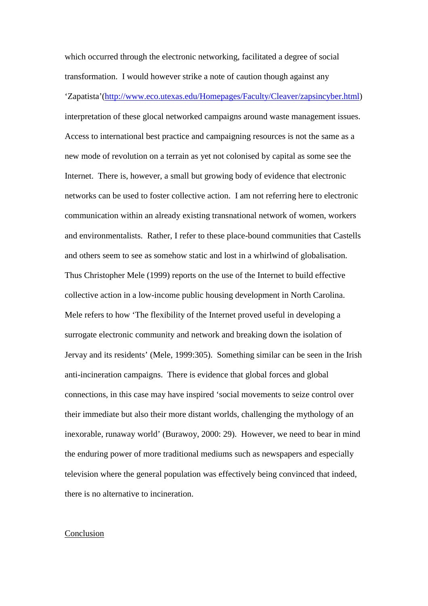which occurred through the electronic networking, facilitated a degree of social transformation. I would however strike a note of caution though against any 'Zapatista'(http://www.eco.utexas.edu/Homepages/Faculty/Cleaver/zapsincyber.html) interpretation of these glocal networked campaigns around waste management issues. Access to international best practice and campaigning resources is not the same as a new mode of revolution on a terrain as yet not colonised by capital as some see the Internet. There is, however, a small but growing body of evidence that electronic networks can be used to foster collective action. I am not referring here to electronic communication within an already existing transnational network of women, workers and environmentalists. Rather, I refer to these place-bound communities that Castells and others seem to see as somehow static and lost in a whirlwind of globalisation. Thus Christopher Mele (1999) reports on the use of the Internet to build effective collective action in a low-income public housing development in North Carolina. Mele refers to how 'The flexibility of the Internet proved useful in developing a surrogate electronic community and network and breaking down the isolation of Jervay and its residents' (Mele, 1999:305). Something similar can be seen in the Irish anti-incineration campaigns. There is evidence that global forces and global connections, in this case may have inspired 'social movements to seize control over their immediate but also their more distant worlds, challenging the mythology of an inexorable, runaway world' (Burawoy, 2000: 29). However, we need to bear in mind the enduring power of more traditional mediums such as newspapers and especially television where the general population was effectively being convinced that indeed, there is no alternative to incineration.

#### Conclusion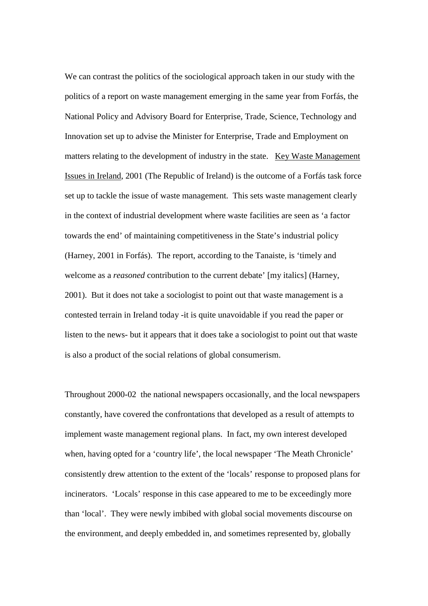We can contrast the politics of the sociological approach taken in our study with the politics of a report on waste management emerging in the same year from Forfás, the National Policy and Advisory Board for Enterprise, Trade, Science, Technology and Innovation set up to advise the Minister for Enterprise, Trade and Employment on matters relating to the development of industry in the state. Key Waste Management Issues in Ireland, 2001 (The Republic of Ireland) is the outcome of a Forfás task force set up to tackle the issue of waste management. This sets waste management clearly in the context of industrial development where waste facilities are seen as 'a factor towards the end' of maintaining competitiveness in the State's industrial policy (Harney, 2001 in Forfás). The report, according to the Tanaiste, is 'timely and welcome as a *reasoned* contribution to the current debate' [my italics] (Harney, 2001). But it does not take a sociologist to point out that waste management is a contested terrain in Ireland today -it is quite unavoidable if you read the paper or listen to the news- but it appears that it does take a sociologist to point out that waste is also a product of the social relations of global consumerism.

Throughout 2000-02 the national newspapers occasionally, and the local newspapers constantly, have covered the confrontations that developed as a result of attempts to implement waste management regional plans. In fact, my own interest developed when, having opted for a 'country life', the local newspaper 'The Meath Chronicle' consistently drew attention to the extent of the 'locals' response to proposed plans for incinerators. 'Locals' response in this case appeared to me to be exceedingly more than 'local'. They were newly imbibed with global social movements discourse on the environment, and deeply embedded in, and sometimes represented by, globally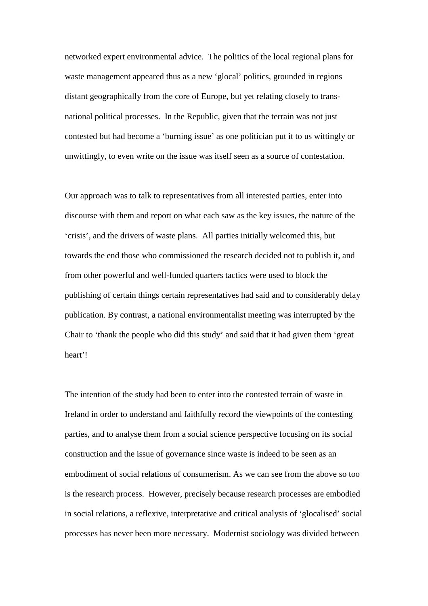networked expert environmental advice. The politics of the local regional plans for waste management appeared thus as a new 'glocal' politics, grounded in regions distant geographically from the core of Europe, but yet relating closely to transnational political processes. In the Republic, given that the terrain was not just contested but had become a 'burning issue' as one politician put it to us wittingly or unwittingly, to even write on the issue was itself seen as a source of contestation.

Our approach was to talk to representatives from all interested parties, enter into discourse with them and report on what each saw as the key issues, the nature of the 'crisis', and the drivers of waste plans. All parties initially welcomed this, but towards the end those who commissioned the research decided not to publish it, and from other powerful and well-funded quarters tactics were used to block the publishing of certain things certain representatives had said and to considerably delay publication. By contrast, a national environmentalist meeting was interrupted by the Chair to 'thank the people who did this study' and said that it had given them 'great heart'!

The intention of the study had been to enter into the contested terrain of waste in Ireland in order to understand and faithfully record the viewpoints of the contesting parties, and to analyse them from a social science perspective focusing on its social construction and the issue of governance since waste is indeed to be seen as an embodiment of social relations of consumerism. As we can see from the above so too is the research process. However, precisely because research processes are embodied in social relations, a reflexive, interpretative and critical analysis of 'glocalised' social processes has never been more necessary. Modernist sociology was divided between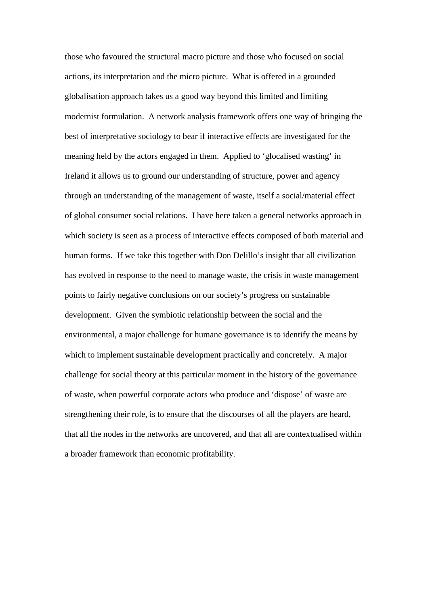those who favoured the structural macro picture and those who focused on social actions, its interpretation and the micro picture. What is offered in a grounded globalisation approach takes us a good way beyond this limited and limiting modernist formulation. A network analysis framework offers one way of bringing the best of interpretative sociology to bear if interactive effects are investigated for the meaning held by the actors engaged in them. Applied to 'glocalised wasting' in Ireland it allows us to ground our understanding of structure, power and agency through an understanding of the management of waste, itself a social/material effect of global consumer social relations. I have here taken a general networks approach in which society is seen as a process of interactive effects composed of both material and human forms. If we take this together with Don Delillo's insight that all civilization has evolved in response to the need to manage waste, the crisis in waste management points to fairly negative conclusions on our society's progress on sustainable development. Given the symbiotic relationship between the social and the environmental, a major challenge for humane governance is to identify the means by which to implement sustainable development practically and concretely. A major challenge for social theory at this particular moment in the history of the governance of waste, when powerful corporate actors who produce and 'dispose' of waste are strengthening their role, is to ensure that the discourses of all the players are heard, that all the nodes in the networks are uncovered, and that all are contextualised within a broader framework than economic profitability.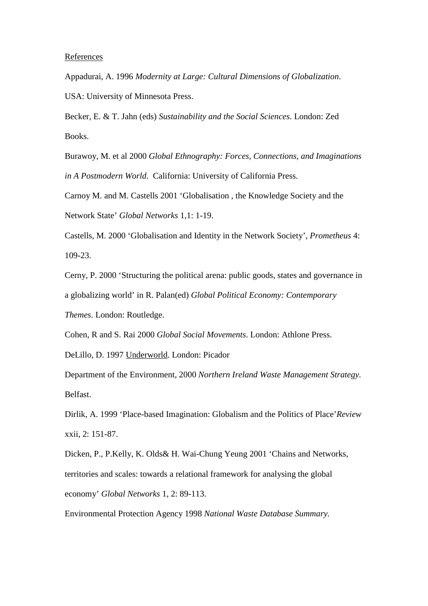#### References

Appadurai, A. 1996 *Modernity at Large: Cultural Dimensions of Globalization*. USA: University of Minnesota Press.

Becker, E. & T. Jahn (eds) *Sustainability and the Social Sciences*. London: Zed Books.

Burawoy, M. et al 2000 *Global Ethnography: Forces, Connections, and Imaginations in A Postmodern World*. California: University of California Press.

Carnoy M. and M. Castells 2001 'Globalisation , the Knowledge Society and the Network State' *Global Networks* 1,1: 1-19.

Castells, M. 2000 'Globalisation and Identity in the Network Society', *Prometheus* 4: 109-23.

Cerny, P. 2000 'Structuring the political arena: public goods, states and governance in a globalizing world' in R. Palan(ed) *Global Political Economy: Contemporary Themes*. London: Routledge.

Cohen, R and S. Rai 2000 *Global Social Movements*. London: Athlone Press.

DeLillo, D. 1997 Underworld. London: Picador

Department of the Environment, 2000 *Northern Ireland Waste Management Strategy.* Belfast.

Dirlik, A. 1999 'Place-based Imagination: Globalism and the Politics of Place'*Review* xxii, 2: 151-87.

Dicken, P., P.Kelly, K. Olds& H. Wai-Chung Yeung 2001 'Chains and Networks, territories and scales: towards a relational framework for analysing the global economy' *Global Networks* 1, 2: 89-113.

Environmental Protection Agency 1998 *National Waste Database Summary.*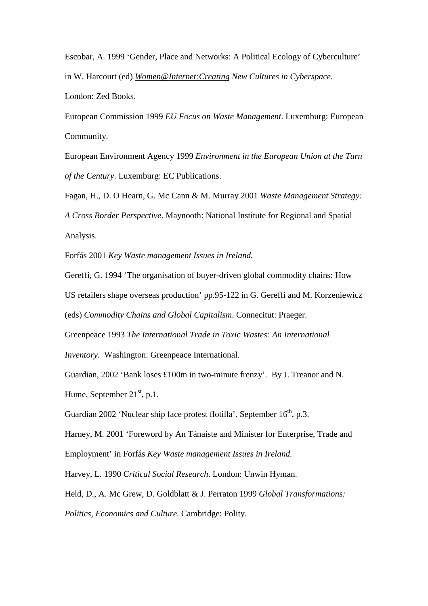Escobar, A. 1999 'Gender, Place and Networks: A Political Ecology of Cyberculture' in W. Harcourt (ed) *Women@Internet:Creating New Cultures in Cyberspace*. London: Zed Books.

European Commission 1999 *EU Focus on Waste Management*. Luxemburg: European Community.

European Environment Agency 1999 *Environment in the European Union at the Turn of the Century*. Luxemburg: EC Publications.

Fagan, H., D. O Hearn, G. Mc Cann & M. Murray 2001 *Waste Management Strategy: A Cross Border Perspective*. Maynooth: National Institute for Regional and Spatial Analysis.

Forfás 2001 *Key Waste management Issues in Ireland.*

Gereffi, G. 1994 'The organisation of buyer-driven global commodity chains: How

US retailers shape overseas production' pp.95-122 in G. Gereffi and M. Korzeniewicz

(eds) *Commodity Chains and Global Capitalism*. Connecitut: Praeger.

Greenpeace 1993 *The International Trade in Toxic Wastes: An International*

*Inventory*. Washington: Greenpeace International.

Guardian, 2002 'Bank loses £100m in two-minute frenzy'. By J. Treanor and N. Hume, September  $21<sup>st</sup>$ , p.1.

Guardian 2002 'Nuclear ship face protest flotilla'. September 16<sup>th</sup>, p.3.

Harney, M. 2001 'Foreword by An Tánaiste and Minister for Enterprise, Trade and Employment' in Forfás *Key Waste management Issues in Ireland.*

Harvey, L. 1990 *Critical Social Research*. London: Unwin Hyman.

Held, D., A. Mc Grew, D. Goldblatt & J. Perraton 1999 *Global Transformations:*

*Politics, Economics and Culture*. Cambridge: Polity.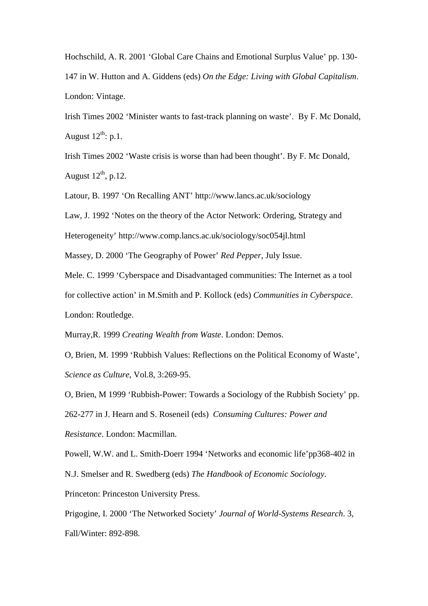Hochschild, A. R. 2001 'Global Care Chains and Emotional Surplus Value' pp. 130- 147 in W. Hutton and A. Giddens (eds) *On the Edge: Living with Global Capitalism*. London: Vintage.

Irish Times 2002 'Minister wants to fast-track planning on waste'. By F. Mc Donald, August  $12^{th}$ : p.1.

Irish Times 2002 'Waste crisis is worse than had been thought'. By F. Mc Donald, August  $12^{th}$ , p.12.

Latour, B. 1997 'On Recalling ANT' http://www.lancs.ac.uk/sociology

Law, J. 1992 'Notes on the theory of the Actor Network: Ordering, Strategy and

Heterogeneity' http://www.comp.lancs.ac.uk/sociology/soc054jl.html

Massey, D. 2000 'The Geography of Power' *Red Pepper*, July Issue.

Mele. C. 1999 'Cyberspace and Disadvantaged communities: The Internet as a tool for collective action' in M.Smith and P. Kollock (eds) *Communities in Cyberspace*. London: Routledge.

Murray,R. 1999 *Creating Wealth from Waste*. London: Demos.

O, Brien, M. 1999 'Rubbish Values: Reflections on the Political Economy of Waste', *Science as Culture*, Vol.8, 3:269-95.

O, Brien, M 1999 'Rubbish-Power: Towards a Sociology of the Rubbish Society' pp. 262-277 in J. Hearn and S. Roseneil (eds) *Consuming Cultures: Power and Resistance*. London: Macmillan.

Powell, W.W. and L. Smith-Doerr 1994 'Networks and economic life'pp368-402 in N.J. Smelser and R. Swedberg (eds) *The Handbook of Economic Sociology*. Princeton: Princeston University Press.

Prigogine, I. 2000 'The Networked Society' *Journal of World-Systems Research*. 3, Fall/Winter: 892-898.